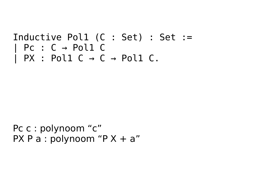## Inductive Pol1 (C : Set) : Set :=  $\vert$  Pc :  $C \rightarrow$  Pol1 C  $\mid$  PX : Pol1 C  $\rightarrow$  C  $\rightarrow$  Pol1 C.

Pc c : polynoom "c" PX P a : polynoom "P  $X + a$ "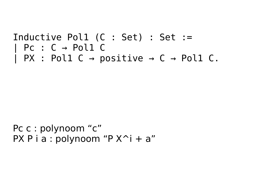## Inductive Pol1 (C : Set) : Set :=  $PC: C \rightarrow Pol1 C$  $\vert$  PX : Pol1 C  $\rightarrow$  positive  $\rightarrow$  C  $\rightarrow$  Pol1 C.

Pc c : polynoom "c" PX P i a : polynoom "P  $X^i + a$ "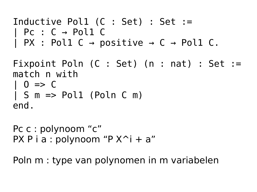```
Inductive Pol1 (C : Set) : Set :=
  PC: C \rightarrow Pol1 C\overline{P} PX : Poll C \rightarrow positive \rightarrow C \rightarrow Poll C.
Fixpoint Poln (C : Set) (n : nat) : Set :=
match n with
| 0 \implies 0| S m => Pol1 (Poln C m)
end.
```

```
Pc c : polynoom "c"
PX P i a : polynoom "P X^i + a"
```
Poln m : type van polynomen in m variabelen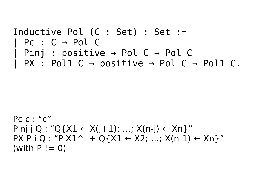```
Inductive Pol (C : Set) : Set :=
  PC: C \rightarrow Pol CPinj : positive \rightarrow Pol C \rightarrow Pol C
 PX : Pol1 C \rightarrow positive \rightarrow Pol C \rightarrow Pol1 C.
```

```
Pc c : "c"
Pinj j Q : "Q{X1 \leftarrow X(j+1); …; X(n-j) \leftarrow Xn}"
PX P i Q : "P X1^i + Q{X1 \leftarrow X2; ...; X(n-1) \leftarrow Xn}"
(with P := 0)
```